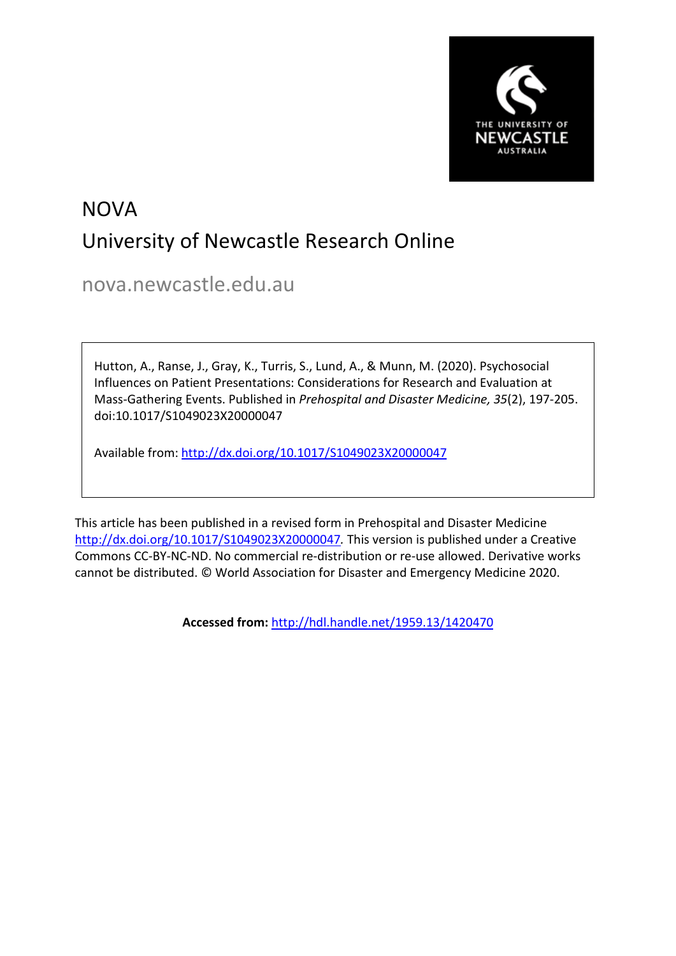

# NOVA University of Newcastle Research Online

nova.newcastle.edu.au

Hutton, A., Ranse, J., Gray, K., Turris, S., Lund, A., & Munn, M. (2020). Psychosocial Influences on Patient Presentations: Considerations for Research and Evaluation at Mass-Gathering Events. Published in *Prehospital and Disaster Medicine, 35*(2), 197-205. doi:10.1017/S1049023X20000047

Available from: <http://dx.doi.org/10.1017/S1049023X20000047>

This article has been published in a revised form in Prehospital and Disaster Medicine <http://dx.doi.org/10.1017/S1049023X20000047>*.* This version is published under a Creative Commons CC-BY-NC-ND. No commercial re-distribution or re-use allowed. Derivative works cannot be distributed. © World Association for Disaster and Emergency Medicine 2020.

**Accessed from:** <http://hdl.handle.net/1959.13/1420470>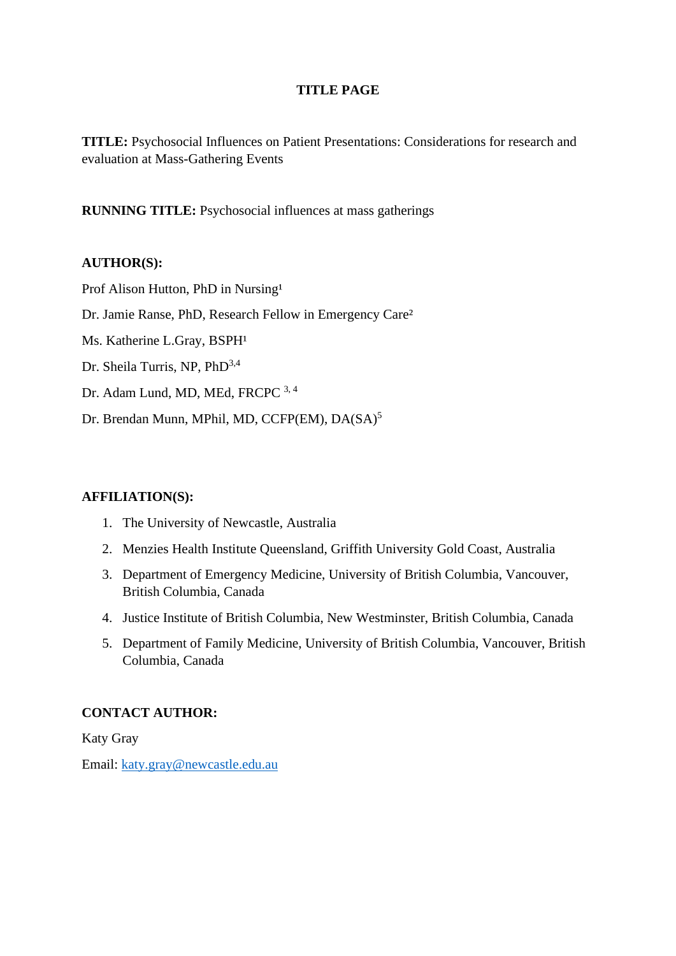# **TITLE PAGE**

**TITLE:** Psychosocial Influences on Patient Presentations: Considerations for research and evaluation at Mass-Gathering Events

**RUNNING TITLE:** Psychosocial influences at mass gatherings

# **AUTHOR(S):**

Prof Alison Hutton, PhD in Nursing<sup>1</sup> Dr. Jamie Ranse, PhD, Research Fellow in Emergency Care<sup>2</sup> Ms. Katherine L.Gray, BSPH<sup>1</sup> Dr. Sheila Turris, NP, PhD<sup>3,4</sup> Dr. Adam Lund, MD, MEd, FRCPC 3, 4

Dr. Brendan Munn, MPhil, MD, CCFP(EM), DA(SA)<sup>5</sup>

# **AFFILIATION(S):**

- 1. The University of Newcastle, Australia
- 2. Menzies Health Institute Queensland, Griffith University Gold Coast, Australia
- 3. Department of Emergency Medicine, University of British Columbia, Vancouver, British Columbia, Canada
- 4. Justice Institute of British Columbia, New Westminster, British Columbia, Canada
- 5. Department of Family Medicine, University of British Columbia, Vancouver, British Columbia, Canada

# **CONTACT AUTHOR:**

Katy Gray

Email: [katy.gray@newcastle.edu.au](mailto:katy.gray@newcastle.edu.au)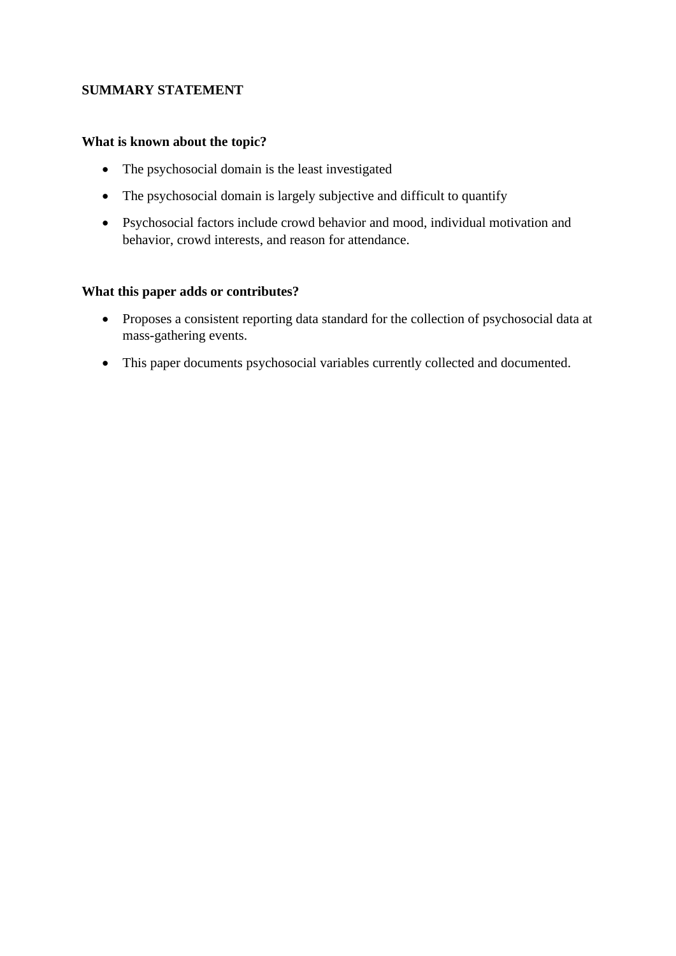# **SUMMARY STATEMENT**

# **What is known about the topic?**

- The psychosocial domain is the least investigated
- The psychosocial domain is largely subjective and difficult to quantify
- Psychosocial factors include crowd behavior and mood, individual motivation and behavior, crowd interests, and reason for attendance.

#### **What this paper adds or contributes?**

- Proposes a consistent reporting data standard for the collection of psychosocial data at mass-gathering events.
- This paper documents psychosocial variables currently collected and documented.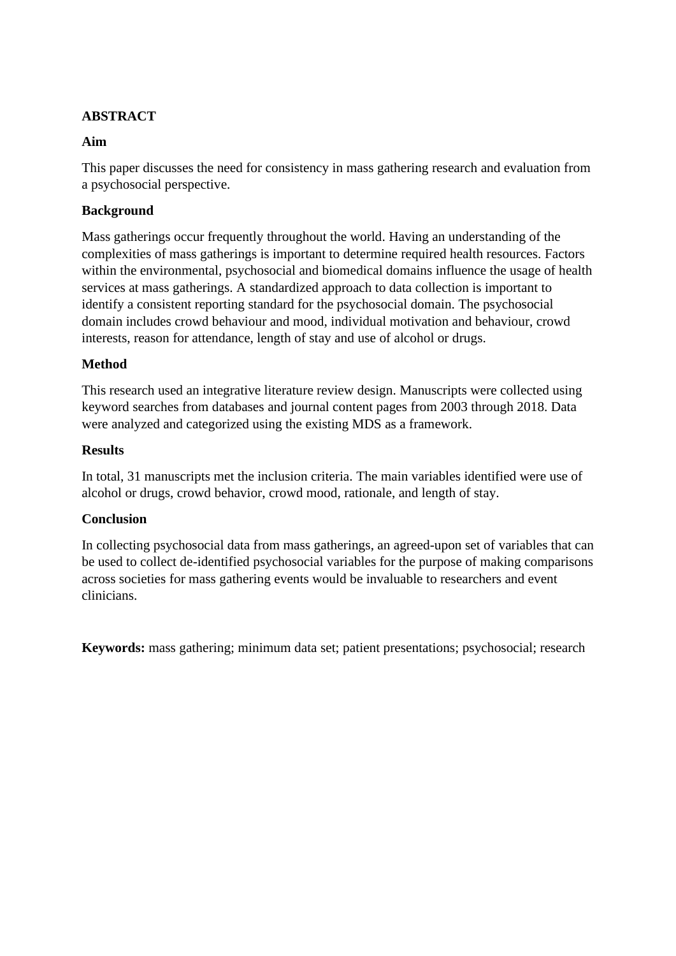# **ABSTRACT**

# **Aim**

This paper discusses the need for consistency in mass gathering research and evaluation from a psychosocial perspective.

# **Background**

Mass gatherings occur frequently throughout the world. Having an understanding of the complexities of mass gatherings is important to determine required health resources. Factors within the environmental, psychosocial and biomedical domains influence the usage of health services at mass gatherings. A standardized approach to data collection is important to identify a consistent reporting standard for the psychosocial domain. The psychosocial domain includes crowd behaviour and mood, individual motivation and behaviour, crowd interests, reason for attendance, length of stay and use of alcohol or drugs.

# **Method**

This research used an integrative literature review design. Manuscripts were collected using keyword searches from databases and journal content pages from 2003 through 2018. Data were analyzed and categorized using the existing MDS as a framework.

# **Results**

In total, 31 manuscripts met the inclusion criteria. The main variables identified were use of alcohol or drugs, crowd behavior, crowd mood, rationale, and length of stay.

# **Conclusion**

In collecting psychosocial data from mass gatherings, an agreed-upon set of variables that can be used to collect de-identified psychosocial variables for the purpose of making comparisons across societies for mass gathering events would be invaluable to researchers and event clinicians.

**Keywords:** mass gathering; minimum data set; patient presentations; psychosocial; research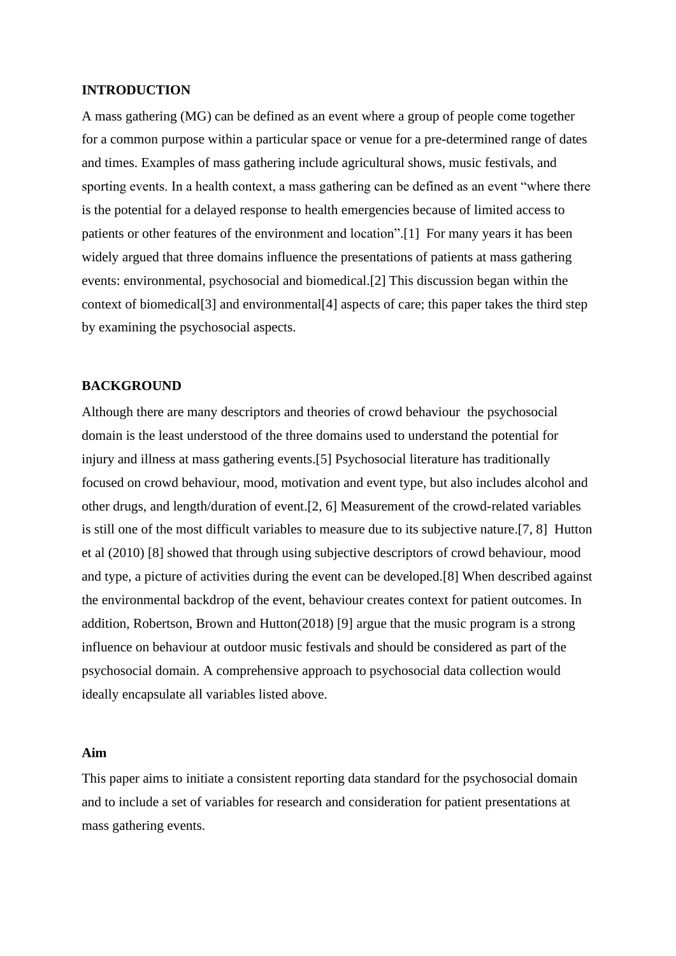#### **INTRODUCTION**

A mass gathering (MG) can be defined as an event where a group of people come together for a common purpose within a particular space or venue for a pre-determined range of dates and times. Examples of mass gathering include agricultural shows, music festivals, and sporting events. In a health context, a mass gathering can be defined as an event "where there is the potential for a delayed response to health emergencies because of limited access to patients or other features of the environment and location".[1] For many years it has been widely argued that three domains influence the presentations of patients at mass gathering events: environmental, psychosocial and biomedical.[2] This discussion began within the context of biomedical[3] and environmental[4] aspects of care; this paper takes the third step by examining the psychosocial aspects.

#### **BACKGROUND**

Although there are many descriptors and theories of crowd behaviour the psychosocial domain is the least understood of the three domains used to understand the potential for injury and illness at mass gathering events.[5] Psychosocial literature has traditionally focused on crowd behaviour, mood, motivation and event type, but also includes alcohol and other drugs, and length/duration of event.[2, 6] Measurement of the crowd-related variables is still one of the most difficult variables to measure due to its subjective nature.[7, 8] Hutton et al (2010) [8] showed that through using subjective descriptors of crowd behaviour, mood and type, a picture of activities during the event can be developed.[8] When described against the environmental backdrop of the event, behaviour creates context for patient outcomes. In addition, Robertson, Brown and Hutton(2018) [9] argue that the music program is a strong influence on behaviour at outdoor music festivals and should be considered as part of the psychosocial domain. A comprehensive approach to psychosocial data collection would ideally encapsulate all variables listed above.

#### **Aim**

This paper aims to initiate a consistent reporting data standard for the psychosocial domain and to include a set of variables for research and consideration for patient presentations at mass gathering events.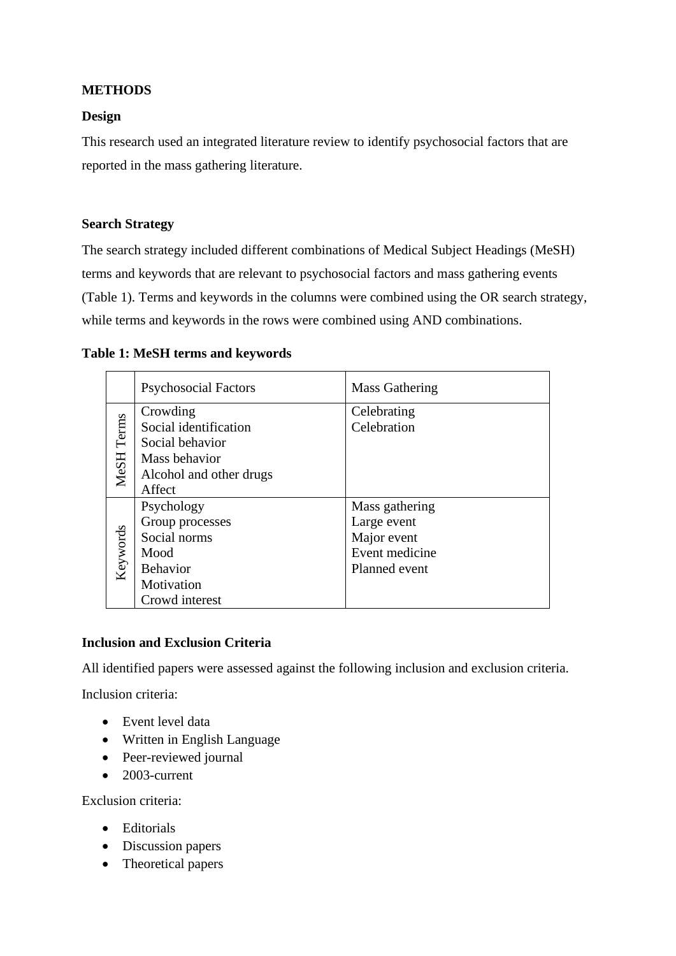# **METHODS**

# **Design**

This research used an integrated literature review to identify psychosocial factors that are reported in the mass gathering literature.

# **Search Strategy**

The search strategy included different combinations of Medical Subject Headings (MeSH) terms and keywords that are relevant to psychosocial factors and mass gathering events (Table 1). Terms and keywords in the columns were combined using the OR search strategy, while terms and keywords in the rows were combined using AND combinations.

#### **Table 1: MeSH terms and keywords**

|            | <b>Psychosocial Factors</b> | Mass Gathering |
|------------|-----------------------------|----------------|
|            | Crowding                    | Celebrating    |
|            | Social identification       | Celebration    |
|            | Social behavior             |                |
| MeSH Terms | Mass behavior               |                |
|            | Alcohol and other drugs     |                |
|            | Affect                      |                |
| Keywords   | Psychology                  | Mass gathering |
|            | Group processes             | Large event    |
|            | Social norms                | Major event    |
|            | Mood                        | Event medicine |
|            | <b>Behavior</b>             | Planned event  |
|            | Motivation                  |                |
|            | Crowd interest              |                |

# **Inclusion and Exclusion Criteria**

All identified papers were assessed against the following inclusion and exclusion criteria.

Inclusion criteria:

- Event level data
- Written in English Language
- Peer-reviewed journal
- 2003-current

Exclusion criteria:

- Editorials
- Discussion papers
- Theoretical papers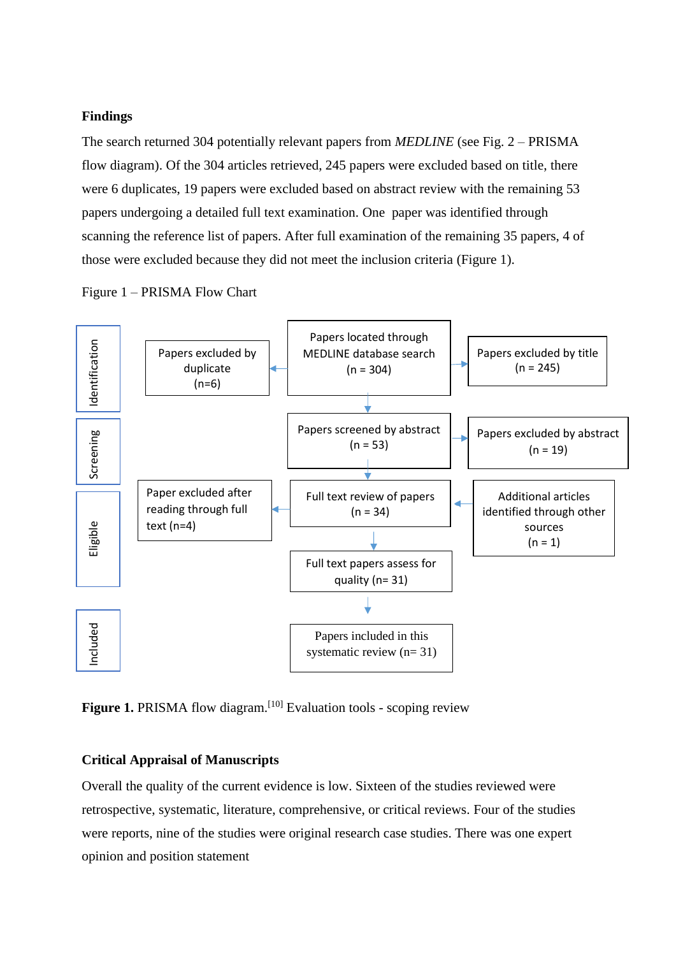#### **Findings**

The search returned 304 potentially relevant papers from *MEDLINE* (see Fig. 2 – PRISMA flow diagram). Of the 304 articles retrieved, 245 papers were excluded based on title, there were 6 duplicates, 19 papers were excluded based on abstract review with the remaining 53 papers undergoing a detailed full text examination. One paper was identified through scanning the reference list of papers. After full examination of the remaining 35 papers, 4 of those were excluded because they did not meet the inclusion criteria (Figure 1).

Figure 1 – PRISMA Flow Chart



Figure 1. PRISMA flow diagram.<sup>[10]</sup> Evaluation tools - scoping review

#### **Critical Appraisal of Manuscripts**

Overall the quality of the current evidence is low. Sixteen of the studies reviewed were retrospective, systematic, literature, comprehensive, or critical reviews. Four of the studies were reports, nine of the studies were original research case studies. There was one expert opinion and position statement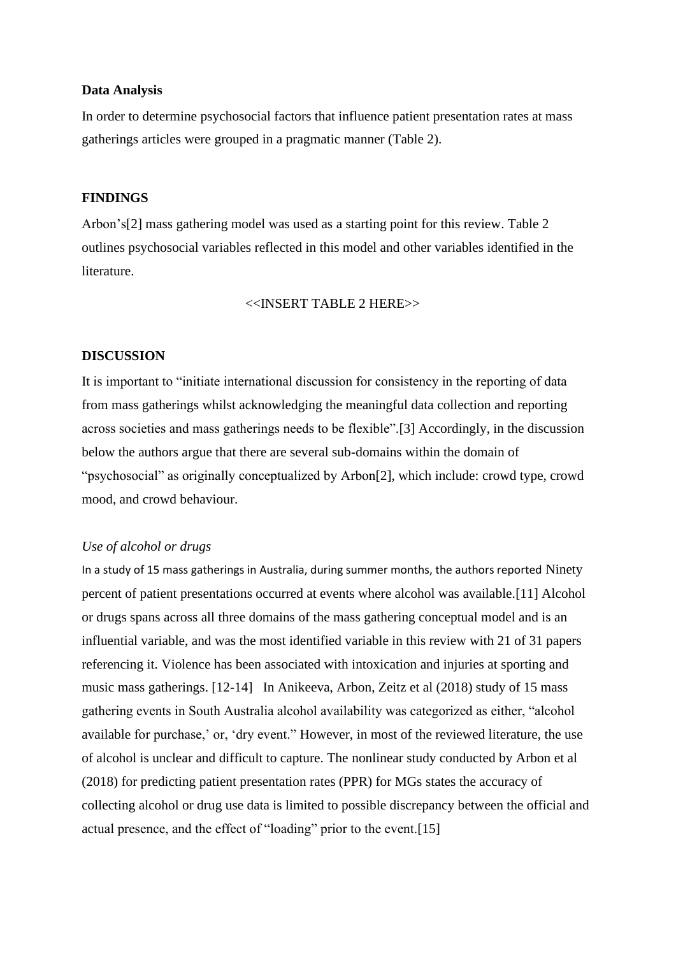#### **Data Analysis**

In order to determine psychosocial factors that influence patient presentation rates at mass gatherings articles were grouped in a pragmatic manner (Table 2).

#### **FINDINGS**

Arbon's[2] mass gathering model was used as a starting point for this review. Table 2 outlines psychosocial variables reflected in this model and other variables identified in the literature.

<<INSERT TABLE 2 HERE>>

#### **DISCUSSION**

It is important to "initiate international discussion for consistency in the reporting of data from mass gatherings whilst acknowledging the meaningful data collection and reporting across societies and mass gatherings needs to be flexible".[3] Accordingly, in the discussion below the authors argue that there are several sub-domains within the domain of "psychosocial" as originally conceptualized by Arbon[2], which include: crowd type, crowd mood, and crowd behaviour.

#### *Use of alcohol or drugs*

In a study of 15 mass gatherings in Australia, during summer months, the authors reported Ninety percent of patient presentations occurred at events where alcohol was available.[11] Alcohol or drugs spans across all three domains of the mass gathering conceptual model and is an influential variable, and was the most identified variable in this review with 21 of 31 papers referencing it. Violence has been associated with intoxication and injuries at sporting and music mass gatherings. [12-14] In Anikeeva, Arbon, Zeitz et al (2018) study of 15 mass gathering events in South Australia alcohol availability was categorized as either, "alcohol available for purchase,' or, 'dry event." However, in most of the reviewed literature, the use of alcohol is unclear and difficult to capture. The nonlinear study conducted by Arbon et al (2018) for predicting patient presentation rates (PPR) for MGs states the accuracy of collecting alcohol or drug use data is limited to possible discrepancy between the official and actual presence, and the effect of "loading" prior to the event.[15]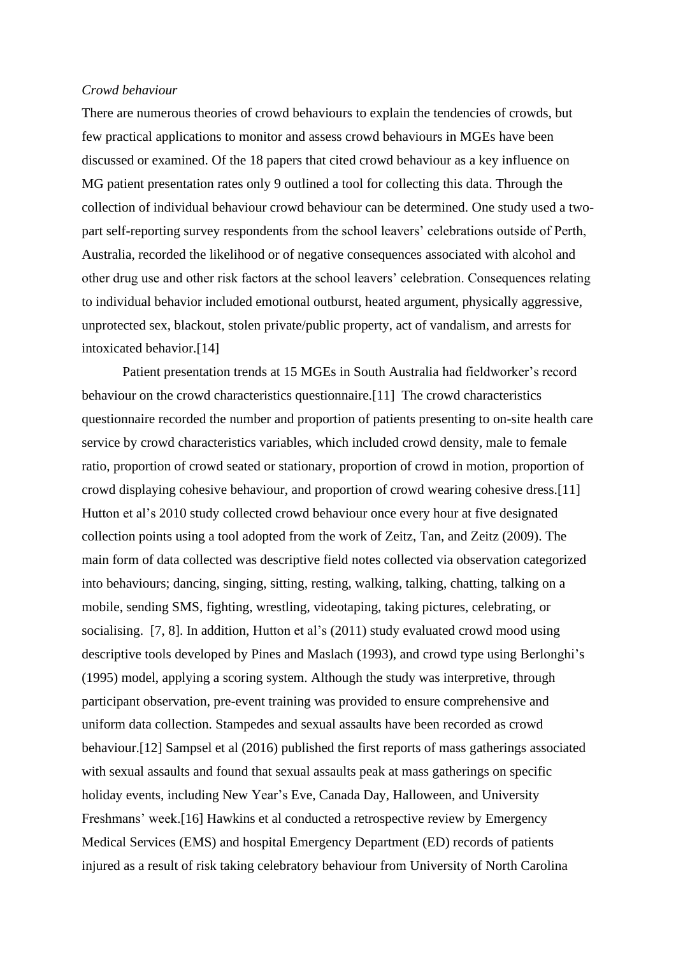#### *Crowd behaviour*

There are numerous theories of crowd behaviours to explain the tendencies of crowds, but few practical applications to monitor and assess crowd behaviours in MGEs have been discussed or examined. Of the 18 papers that cited crowd behaviour as a key influence on MG patient presentation rates only 9 outlined a tool for collecting this data. Through the collection of individual behaviour crowd behaviour can be determined. One study used a twopart self-reporting survey respondents from the school leavers' celebrations outside of Perth, Australia, recorded the likelihood or of negative consequences associated with alcohol and other drug use and other risk factors at the school leavers' celebration. Consequences relating to individual behavior included emotional outburst, heated argument, physically aggressive, unprotected sex, blackout, stolen private/public property, act of vandalism, and arrests for intoxicated behavior.[14]

Patient presentation trends at 15 MGEs in South Australia had fieldworker's record behaviour on the crowd characteristics questionnaire.[11] The crowd characteristics questionnaire recorded the number and proportion of patients presenting to on-site health care service by crowd characteristics variables, which included crowd density, male to female ratio, proportion of crowd seated or stationary, proportion of crowd in motion, proportion of crowd displaying cohesive behaviour, and proportion of crowd wearing cohesive dress.[11] Hutton et al's 2010 study collected crowd behaviour once every hour at five designated collection points using a tool adopted from the work of Zeitz, Tan, and Zeitz (2009). The main form of data collected was descriptive field notes collected via observation categorized into behaviours; dancing, singing, sitting, resting, walking, talking, chatting, talking on a mobile, sending SMS, fighting, wrestling, videotaping, taking pictures, celebrating, or socialising. [7, 8]. In addition, Hutton et al's (2011) study evaluated crowd mood using descriptive tools developed by Pines and Maslach (1993), and crowd type using Berlonghi's (1995) model, applying a scoring system. Although the study was interpretive, through participant observation, pre-event training was provided to ensure comprehensive and uniform data collection. Stampedes and sexual assaults have been recorded as crowd behaviour.[12] Sampsel et al (2016) published the first reports of mass gatherings associated with sexual assaults and found that sexual assaults peak at mass gatherings on specific holiday events, including New Year's Eve, Canada Day, Halloween, and University Freshmans' week.[16] Hawkins et al conducted a retrospective review by Emergency Medical Services (EMS) and hospital Emergency Department (ED) records of patients injured as a result of risk taking celebratory behaviour from University of North Carolina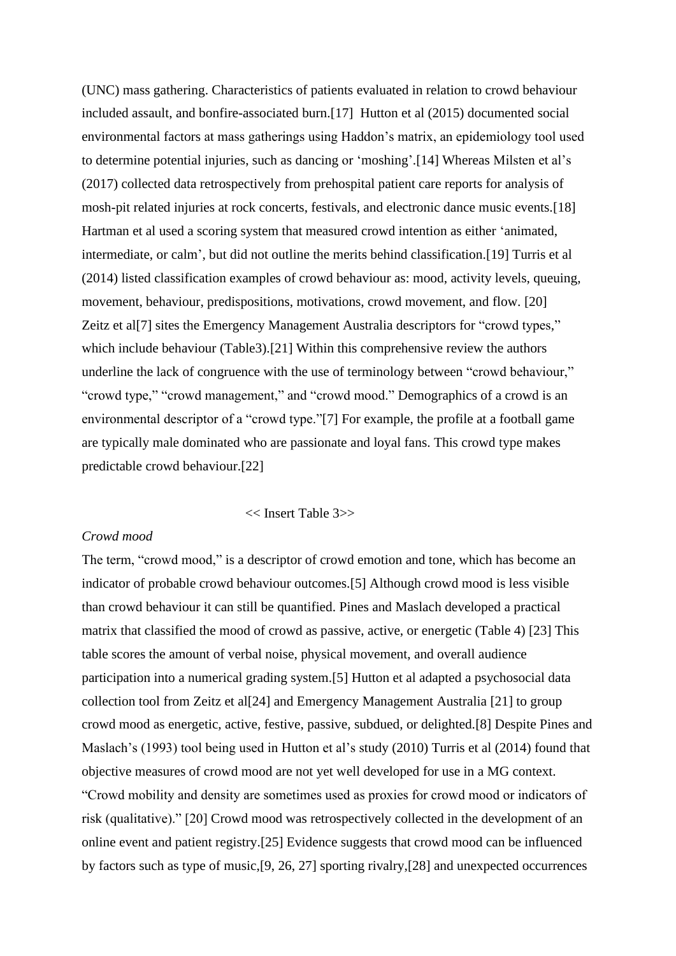(UNC) mass gathering. Characteristics of patients evaluated in relation to crowd behaviour included assault, and bonfire-associated burn.[17] Hutton et al (2015) documented social environmental factors at mass gatherings using Haddon's matrix, an epidemiology tool used to determine potential injuries, such as dancing or 'moshing'.[14] Whereas Milsten et al's (2017) collected data retrospectively from prehospital patient care reports for analysis of mosh-pit related injuries at rock concerts, festivals, and electronic dance music events.[18] Hartman et al used a scoring system that measured crowd intention as either 'animated, intermediate, or calm', but did not outline the merits behind classification.[19] Turris et al (2014) listed classification examples of crowd behaviour as: mood, activity levels, queuing, movement, behaviour, predispositions, motivations, crowd movement, and flow. [20] Zeitz et al<sup>[7]</sup> sites the Emergency Management Australia descriptors for "crowd types," which include behaviour (Table3).[21] Within this comprehensive review the authors underline the lack of congruence with the use of terminology between "crowd behaviour," "crowd type," "crowd management," and "crowd mood." Demographics of a crowd is an environmental descriptor of a "crowd type."[7] For example, the profile at a football game are typically male dominated who are passionate and loyal fans. This crowd type makes predictable crowd behaviour.[22]

#### << Insert Table 3>>

#### *Crowd mood*

The term, "crowd mood," is a descriptor of crowd emotion and tone, which has become an indicator of probable crowd behaviour outcomes.[5] Although crowd mood is less visible than crowd behaviour it can still be quantified. Pines and Maslach developed a practical matrix that classified the mood of crowd as passive, active, or energetic (Table 4) [23] This table scores the amount of verbal noise, physical movement, and overall audience participation into a numerical grading system.[5] Hutton et al adapted a psychosocial data collection tool from Zeitz et al[24] and Emergency Management Australia [21] to group crowd mood as energetic, active, festive, passive, subdued, or delighted.[8] Despite Pines and Maslach's (1993) tool being used in Hutton et al's study (2010) Turris et al (2014) found that objective measures of crowd mood are not yet well developed for use in a MG context. "Crowd mobility and density are sometimes used as proxies for crowd mood or indicators of risk (qualitative)." [20] Crowd mood was retrospectively collected in the development of an online event and patient registry.[25] Evidence suggests that crowd mood can be influenced by factors such as type of music,[9, 26, 27] sporting rivalry,[28] and unexpected occurrences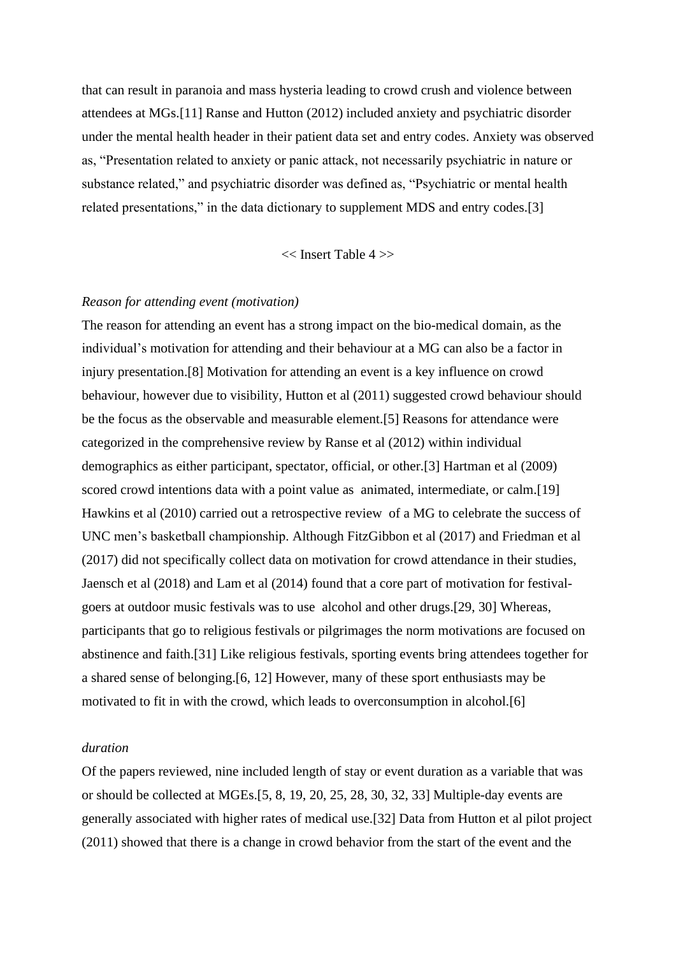that can result in paranoia and mass hysteria leading to crowd crush and violence between attendees at MGs.[11] Ranse and Hutton (2012) included anxiety and psychiatric disorder under the mental health header in their patient data set and entry codes. Anxiety was observed as, "Presentation related to anxiety or panic attack, not necessarily psychiatric in nature or substance related," and psychiatric disorder was defined as, "Psychiatric or mental health related presentations," in the data dictionary to supplement MDS and entry codes.[3]

<< Insert Table 4 >>

#### *Reason for attending event (motivation)*

The reason for attending an event has a strong impact on the bio-medical domain, as the individual's motivation for attending and their behaviour at a MG can also be a factor in injury presentation.[8] Motivation for attending an event is a key influence on crowd behaviour, however due to visibility, Hutton et al (2011) suggested crowd behaviour should be the focus as the observable and measurable element.[5] Reasons for attendance were categorized in the comprehensive review by Ranse et al (2012) within individual demographics as either participant, spectator, official, or other.[3] Hartman et al (2009) scored crowd intentions data with a point value as animated, intermediate, or calm.[19] Hawkins et al (2010) carried out a retrospective review of a MG to celebrate the success of UNC men's basketball championship. Although FitzGibbon et al (2017) and Friedman et al (2017) did not specifically collect data on motivation for crowd attendance in their studies, Jaensch et al (2018) and Lam et al (2014) found that a core part of motivation for festivalgoers at outdoor music festivals was to use alcohol and other drugs.[29, 30] Whereas, participants that go to religious festivals or pilgrimages the norm motivations are focused on abstinence and faith.[31] Like religious festivals, sporting events bring attendees together for a shared sense of belonging.[6, 12] However, many of these sport enthusiasts may be motivated to fit in with the crowd, which leads to overconsumption in alcohol.[6]

#### *duration*

Of the papers reviewed, nine included length of stay or event duration as a variable that was or should be collected at MGEs.[5, 8, 19, 20, 25, 28, 30, 32, 33] Multiple-day events are generally associated with higher rates of medical use.[32] Data from Hutton et al pilot project (2011) showed that there is a change in crowd behavior from the start of the event and the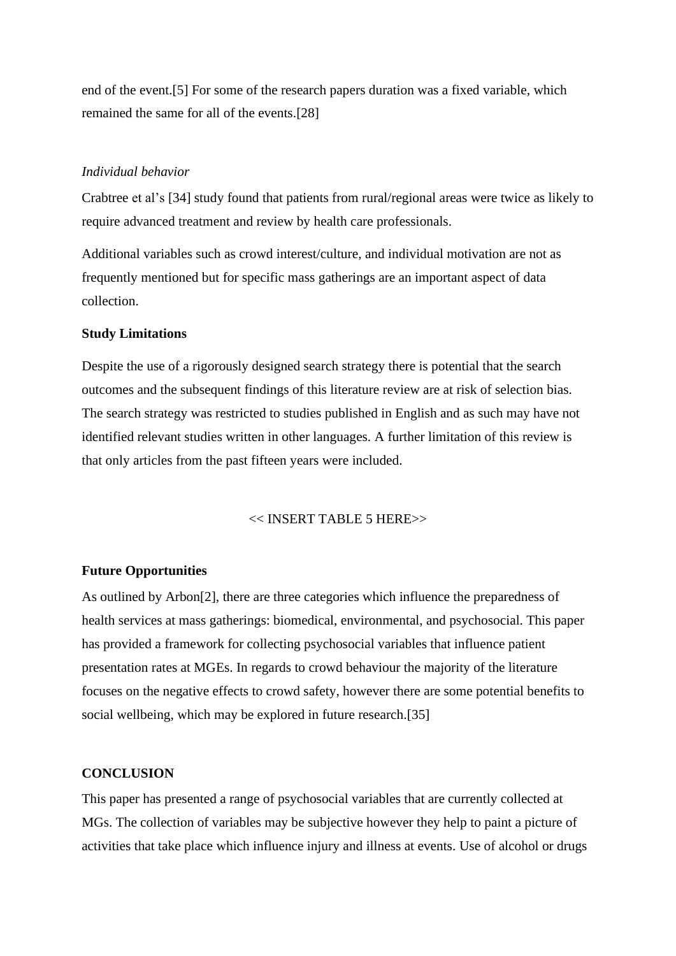end of the event.[5] For some of the research papers duration was a fixed variable, which remained the same for all of the events.[28]

#### *Individual behavior*

Crabtree et al's [34] study found that patients from rural/regional areas were twice as likely to require advanced treatment and review by health care professionals.

Additional variables such as crowd interest/culture, and individual motivation are not as frequently mentioned but for specific mass gatherings are an important aspect of data collection.

#### **Study Limitations**

Despite the use of a rigorously designed search strategy there is potential that the search outcomes and the subsequent findings of this literature review are at risk of selection bias. The search strategy was restricted to studies published in English and as such may have not identified relevant studies written in other languages. A further limitation of this review is that only articles from the past fifteen years were included.

# << INSERT TABLE 5 HERE>>

#### **Future Opportunities**

As outlined by Arbon[2], there are three categories which influence the preparedness of health services at mass gatherings: biomedical, environmental, and psychosocial. This paper has provided a framework for collecting psychosocial variables that influence patient presentation rates at MGEs. In regards to crowd behaviour the majority of the literature focuses on the negative effects to crowd safety, however there are some potential benefits to social wellbeing, which may be explored in future research.[35]

#### **CONCLUSION**

This paper has presented a range of psychosocial variables that are currently collected at MGs. The collection of variables may be subjective however they help to paint a picture of activities that take place which influence injury and illness at events. Use of alcohol or drugs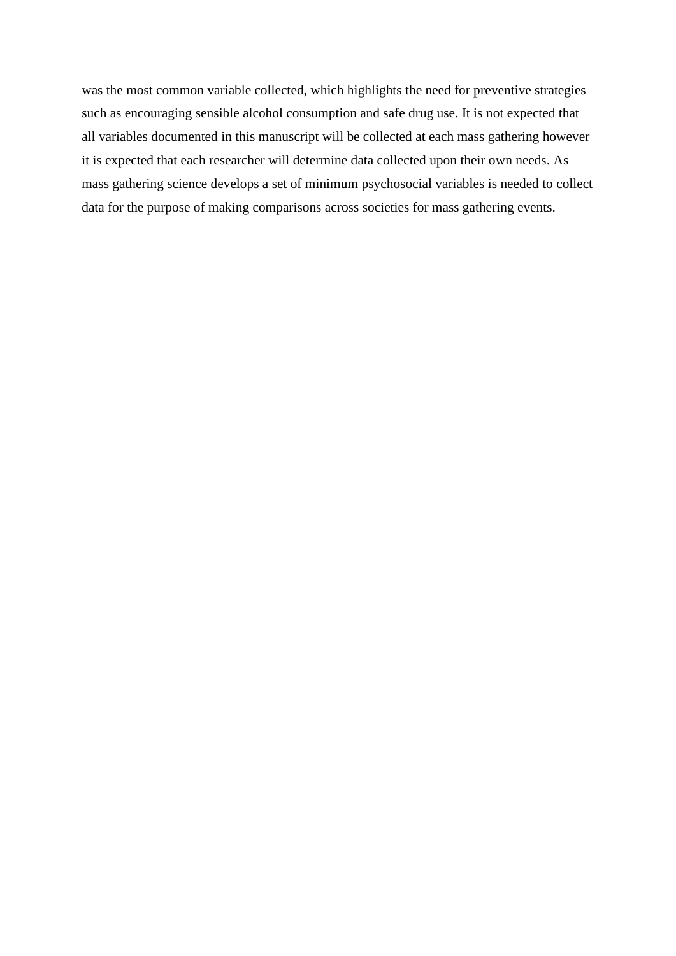was the most common variable collected, which highlights the need for preventive strategies such as encouraging sensible alcohol consumption and safe drug use. It is not expected that all variables documented in this manuscript will be collected at each mass gathering however it is expected that each researcher will determine data collected upon their own needs. As mass gathering science develops a set of minimum psychosocial variables is needed to collect data for the purpose of making comparisons across societies for mass gathering events.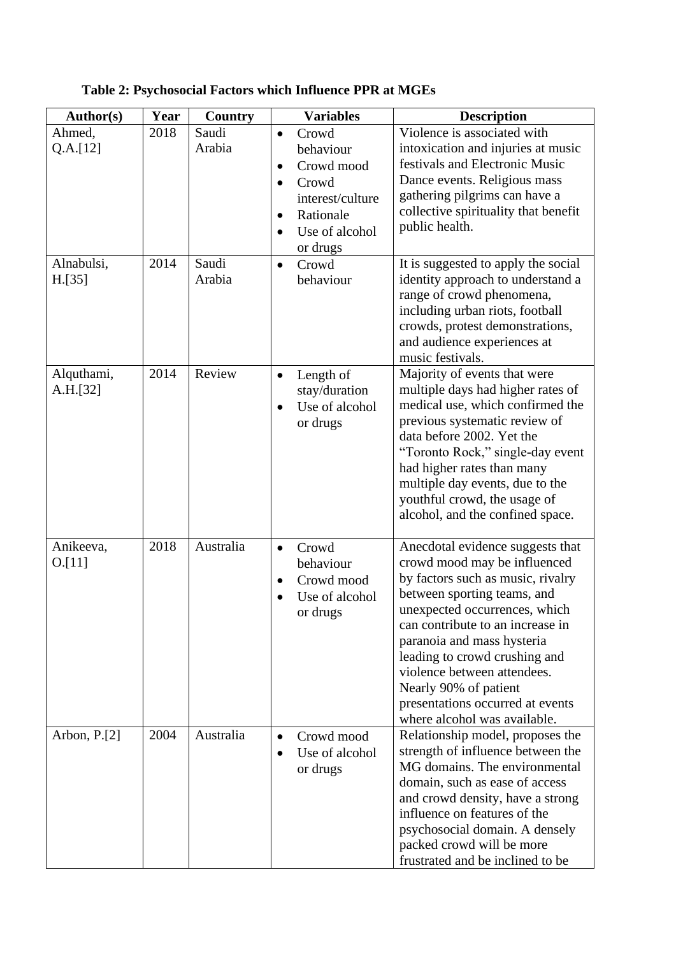| Author(s)    | Year | <b>Country</b> | <b>Variables</b>                        | <b>Description</b>                                          |
|--------------|------|----------------|-----------------------------------------|-------------------------------------------------------------|
| Ahmed,       | 2018 | Saudi          | Crowd<br>$\bullet$                      | Violence is associated with                                 |
| Q.A.[12]     |      | Arabia         | behaviour                               | intoxication and injuries at music                          |
|              |      |                | Crowd mood<br>$\bullet$                 | festivals and Electronic Music                              |
|              |      |                | Crowd<br>$\bullet$                      | Dance events. Religious mass                                |
|              |      |                | interest/culture                        | gathering pilgrims can have a                               |
|              |      |                | Rationale<br>$\bullet$                  | collective spirituality that benefit                        |
|              |      |                | Use of alcohol<br>$\bullet$             | public health.                                              |
|              |      |                | or drugs                                |                                                             |
| Alnabulsi,   | 2014 | Saudi          | Crowd<br>$\bullet$                      | It is suggested to apply the social                         |
| H.[35]       |      | Arabia         | behaviour                               | identity approach to understand a                           |
|              |      |                |                                         | range of crowd phenomena,                                   |
|              |      |                |                                         | including urban riots, football                             |
|              |      |                |                                         | crowds, protest demonstrations,                             |
|              |      |                |                                         | and audience experiences at<br>music festivals.             |
| Alquthami,   | 2014 | Review         |                                         | Majority of events that were                                |
| A.H.[32]     |      |                | Length of<br>$\bullet$<br>stay/duration | multiple days had higher rates of                           |
|              |      |                | Use of alcohol<br>$\bullet$             | medical use, which confirmed the                            |
|              |      |                | or drugs                                | previous systematic review of                               |
|              |      |                |                                         | data before 2002. Yet the                                   |
|              |      |                |                                         | "Toronto Rock," single-day event                            |
|              |      |                |                                         | had higher rates than many                                  |
|              |      |                |                                         | multiple day events, due to the                             |
|              |      |                |                                         | youthful crowd, the usage of                                |
|              |      |                |                                         | alcohol, and the confined space.                            |
|              |      |                |                                         |                                                             |
| Anikeeva,    | 2018 | Australia      | Crowd<br>$\bullet$                      | Anecdotal evidence suggests that                            |
| 0.111        |      |                | behaviour                               | crowd mood may be influenced                                |
|              |      |                | Crowd mood<br>$\bullet$                 | by factors such as music, rivalry                           |
|              |      |                | Use of alcohol                          | between sporting teams, and                                 |
|              |      |                | or drugs                                | unexpected occurrences, which                               |
|              |      |                |                                         | can contribute to an increase in                            |
|              |      |                |                                         | paranoia and mass hysteria<br>leading to crowd crushing and |
|              |      |                |                                         | violence between attendees.                                 |
|              |      |                |                                         | Nearly 90% of patient                                       |
|              |      |                |                                         | presentations occurred at events                            |
|              |      |                |                                         | where alcohol was available.                                |
| Arbon, P.[2] | 2004 | Australia      | Crowd mood<br>$\bullet$                 | Relationship model, proposes the                            |
|              |      |                | Use of alcohol<br>$\bullet$             | strength of influence between the                           |
|              |      |                | or drugs                                | MG domains. The environmental                               |
|              |      |                |                                         | domain, such as ease of access                              |
|              |      |                |                                         | and crowd density, have a strong                            |
|              |      |                |                                         | influence on features of the                                |
|              |      |                |                                         | psychosocial domain. A densely                              |
|              |      |                |                                         | packed crowd will be more                                   |
|              |      |                |                                         | frustrated and be inclined to be                            |

# **Table 2: Psychosocial Factors which Influence PPR at MGEs**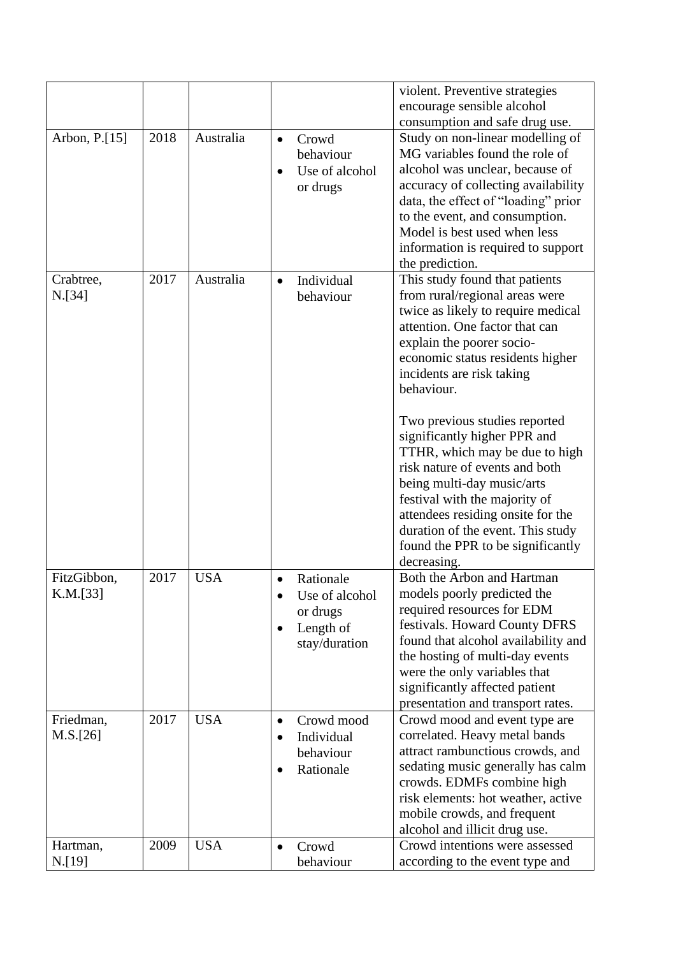|                                      |              |                        | violent. Preventive strategies                                                                                                                                                                                                                                                                                                                                                                                                                                                                                                                                                                                                                                                                                                                                                                                                                                                                                        |
|--------------------------------------|--------------|------------------------|-----------------------------------------------------------------------------------------------------------------------------------------------------------------------------------------------------------------------------------------------------------------------------------------------------------------------------------------------------------------------------------------------------------------------------------------------------------------------------------------------------------------------------------------------------------------------------------------------------------------------------------------------------------------------------------------------------------------------------------------------------------------------------------------------------------------------------------------------------------------------------------------------------------------------|
|                                      |              |                        | encourage sensible alcohol                                                                                                                                                                                                                                                                                                                                                                                                                                                                                                                                                                                                                                                                                                                                                                                                                                                                                            |
|                                      |              |                        |                                                                                                                                                                                                                                                                                                                                                                                                                                                                                                                                                                                                                                                                                                                                                                                                                                                                                                                       |
| Arbon, P.[15]<br>Crabtree,<br>N.[34] | 2018<br>2017 | Australia<br>Australia | consumption and safe drug use.<br>Study on non-linear modelling of<br>Crowd<br>$\bullet$<br>MG variables found the role of<br>behaviour<br>alcohol was unclear, because of<br>Use of alcohol<br>accuracy of collecting availability<br>or drugs<br>data, the effect of "loading" prior<br>to the event, and consumption.<br>Model is best used when less<br>information is required to support<br>the prediction.<br>This study found that patients<br>Individual<br>$\bullet$<br>from rural/regional areas were<br>behaviour<br>twice as likely to require medical<br>attention. One factor that can<br>explain the poorer socio-<br>economic status residents higher<br>incidents are risk taking<br>behaviour.<br>Two previous studies reported<br>significantly higher PPR and<br>TTHR, which may be due to high<br>risk nature of events and both<br>being multi-day music/arts<br>festival with the majority of |
|                                      |              |                        | attendees residing onsite for the                                                                                                                                                                                                                                                                                                                                                                                                                                                                                                                                                                                                                                                                                                                                                                                                                                                                                     |
|                                      |              |                        | duration of the event. This study<br>found the PPR to be significantly<br>decreasing.                                                                                                                                                                                                                                                                                                                                                                                                                                                                                                                                                                                                                                                                                                                                                                                                                                 |
| FitzGibbon,<br>K.M.[33]              | 2017         | <b>USA</b>             | Both the Arbon and Hartman<br>Rationale<br>$\bullet$<br>models poorly predicted the<br>Use of alcohol<br>$\bullet$                                                                                                                                                                                                                                                                                                                                                                                                                                                                                                                                                                                                                                                                                                                                                                                                    |
|                                      |              |                        | required resources for EDM<br>or drugs                                                                                                                                                                                                                                                                                                                                                                                                                                                                                                                                                                                                                                                                                                                                                                                                                                                                                |
|                                      |              |                        | festivals. Howard County DFRS<br>Length of                                                                                                                                                                                                                                                                                                                                                                                                                                                                                                                                                                                                                                                                                                                                                                                                                                                                            |
|                                      |              |                        | found that alcohol availability and<br>stay/duration                                                                                                                                                                                                                                                                                                                                                                                                                                                                                                                                                                                                                                                                                                                                                                                                                                                                  |
|                                      |              |                        | the hosting of multi-day events<br>were the only variables that                                                                                                                                                                                                                                                                                                                                                                                                                                                                                                                                                                                                                                                                                                                                                                                                                                                       |
|                                      |              |                        | significantly affected patient                                                                                                                                                                                                                                                                                                                                                                                                                                                                                                                                                                                                                                                                                                                                                                                                                                                                                        |
|                                      |              |                        | presentation and transport rates.                                                                                                                                                                                                                                                                                                                                                                                                                                                                                                                                                                                                                                                                                                                                                                                                                                                                                     |
| Friedman,                            | 2017         | <b>USA</b>             | Crowd mood and event type are<br>Crowd mood<br>$\bullet$                                                                                                                                                                                                                                                                                                                                                                                                                                                                                                                                                                                                                                                                                                                                                                                                                                                              |
| M.S.[26]                             |              |                        | correlated. Heavy metal bands<br>Individual                                                                                                                                                                                                                                                                                                                                                                                                                                                                                                                                                                                                                                                                                                                                                                                                                                                                           |
|                                      |              |                        | attract rambunctious crowds, and<br>behaviour                                                                                                                                                                                                                                                                                                                                                                                                                                                                                                                                                                                                                                                                                                                                                                                                                                                                         |
|                                      |              |                        | sedating music generally has calm<br>Rationale                                                                                                                                                                                                                                                                                                                                                                                                                                                                                                                                                                                                                                                                                                                                                                                                                                                                        |
|                                      |              |                        | crowds. EDMFs combine high                                                                                                                                                                                                                                                                                                                                                                                                                                                                                                                                                                                                                                                                                                                                                                                                                                                                                            |
|                                      |              |                        | risk elements: hot weather, active                                                                                                                                                                                                                                                                                                                                                                                                                                                                                                                                                                                                                                                                                                                                                                                                                                                                                    |
|                                      |              |                        | mobile crowds, and frequent                                                                                                                                                                                                                                                                                                                                                                                                                                                                                                                                                                                                                                                                                                                                                                                                                                                                                           |
|                                      | 2009         | <b>USA</b>             | alcohol and illicit drug use.<br>Crowd intentions were assessed                                                                                                                                                                                                                                                                                                                                                                                                                                                                                                                                                                                                                                                                                                                                                                                                                                                       |
| Hartman,<br>N.[19]                   |              |                        | Crowd<br>$\bullet$<br>according to the event type and<br>behaviour                                                                                                                                                                                                                                                                                                                                                                                                                                                                                                                                                                                                                                                                                                                                                                                                                                                    |
|                                      |              |                        |                                                                                                                                                                                                                                                                                                                                                                                                                                                                                                                                                                                                                                                                                                                                                                                                                                                                                                                       |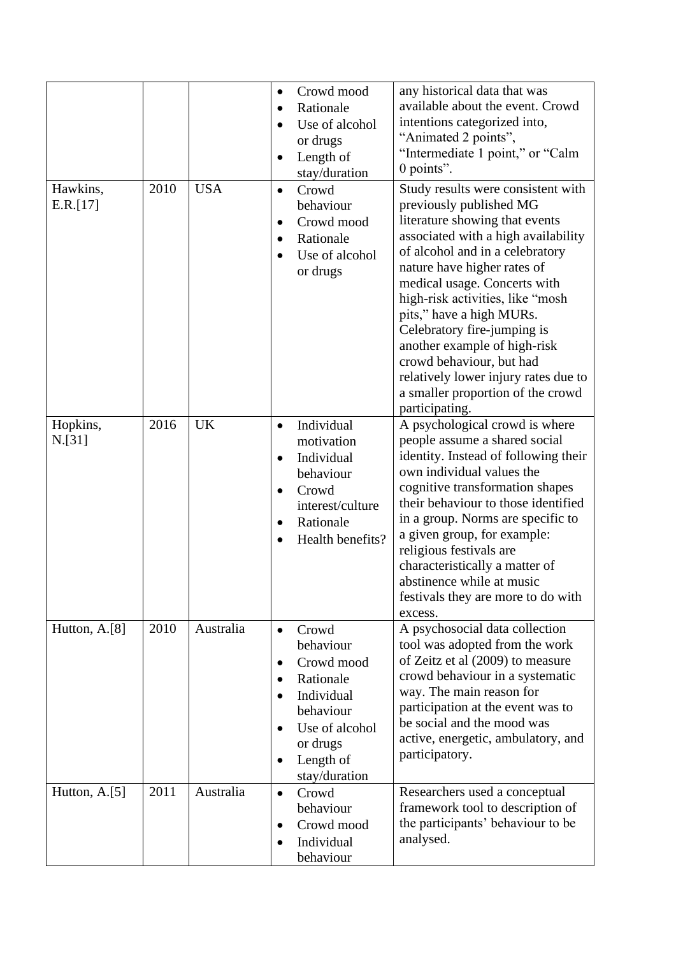|                      |      |            | Crowd mood<br>$\bullet$<br>Rationale<br>$\bullet$<br>Use of alcohol<br>$\bullet$<br>or drugs<br>Length of<br>stay/duration                                                               | any historical data that was<br>available about the event. Crowd<br>intentions categorized into,<br>"Animated 2 points",<br>"Intermediate 1 point," or "Calm<br>0 points".                                                                                                                                                                                                                                                                                                                         |
|----------------------|------|------------|------------------------------------------------------------------------------------------------------------------------------------------------------------------------------------------|----------------------------------------------------------------------------------------------------------------------------------------------------------------------------------------------------------------------------------------------------------------------------------------------------------------------------------------------------------------------------------------------------------------------------------------------------------------------------------------------------|
| Hawkins,<br>E.R.[17] | 2010 | <b>USA</b> | Crowd<br>$\bullet$<br>behaviour<br>Crowd mood<br>$\bullet$<br>Rationale<br>$\bullet$<br>Use of alcohol<br>or drugs                                                                       | Study results were consistent with<br>previously published MG<br>literature showing that events<br>associated with a high availability<br>of alcohol and in a celebratory<br>nature have higher rates of<br>medical usage. Concerts with<br>high-risk activities, like "mosh<br>pits," have a high MURs.<br>Celebratory fire-jumping is<br>another example of high-risk<br>crowd behaviour, but had<br>relatively lower injury rates due to<br>a smaller proportion of the crowd<br>participating. |
| Hopkins,<br>N.[31]   | 2016 | <b>UK</b>  | Individual<br>$\bullet$<br>motivation<br>Individual<br>$\bullet$<br>behaviour<br>Crowd<br>interest/culture<br>Rationale<br>$\bullet$<br>Health benefits?                                 | A psychological crowd is where<br>people assume a shared social<br>identity. Instead of following their<br>own individual values the<br>cognitive transformation shapes<br>their behaviour to those identified<br>in a group. Norms are specific to<br>a given group, for example:<br>religious festivals are<br>characteristically a matter of<br>abstinence while at music<br>festivals they are more to do with<br>excess.                                                                      |
| Hutton, A.[8]        | 2010 | Australia  | Crowd<br>$\bullet$<br>behaviour<br>Crowd mood<br>$\bullet$<br>Rationale<br>$\bullet$<br>Individual<br>behaviour<br>Use of alcohol<br>or drugs<br>Length of<br>$\bullet$<br>stay/duration | A psychosocial data collection<br>tool was adopted from the work<br>of Zeitz et al (2009) to measure<br>crowd behaviour in a systematic<br>way. The main reason for<br>participation at the event was to<br>be social and the mood was<br>active, energetic, ambulatory, and<br>participatory.                                                                                                                                                                                                     |
| Hutton, A.[5]        | 2011 | Australia  | Crowd<br>$\bullet$<br>behaviour<br>Crowd mood<br>Individual<br>$\bullet$<br>behaviour                                                                                                    | Researchers used a conceptual<br>framework tool to description of<br>the participants' behaviour to be<br>analysed.                                                                                                                                                                                                                                                                                                                                                                                |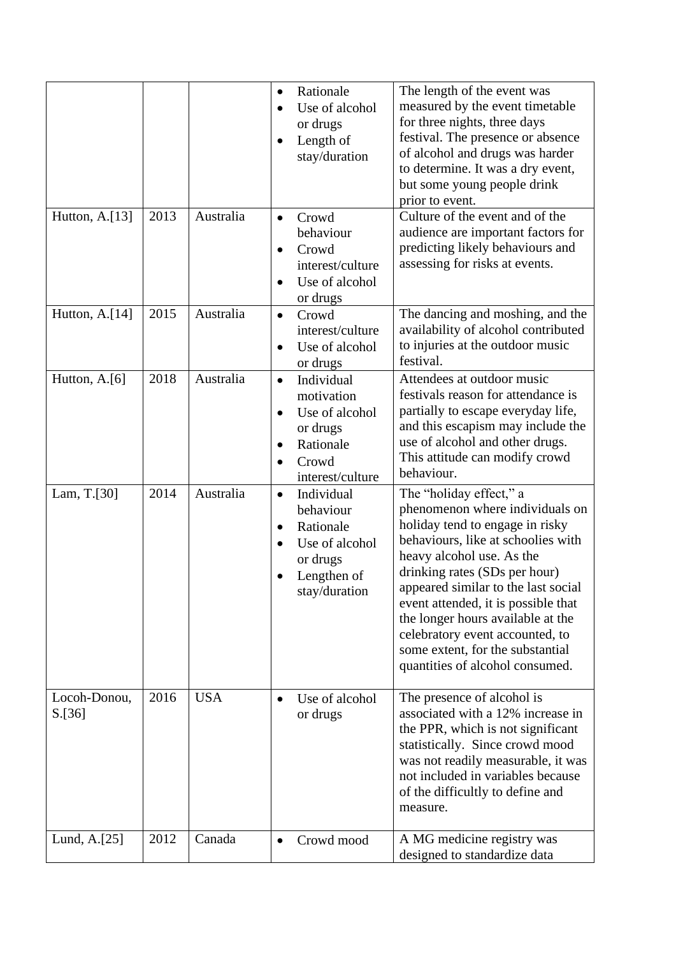|                        |      |            | The length of the event was<br>Rationale<br>$\bullet$<br>measured by the event timetable<br>Use of alcohol<br>for three nights, three days<br>or drugs<br>festival. The presence or absence<br>Length of<br>$\bullet$<br>of alcohol and drugs was harder<br>stay/duration<br>to determine. It was a dry event,<br>but some young people drink<br>prior to event.                                                                                                                                                                                  |
|------------------------|------|------------|---------------------------------------------------------------------------------------------------------------------------------------------------------------------------------------------------------------------------------------------------------------------------------------------------------------------------------------------------------------------------------------------------------------------------------------------------------------------------------------------------------------------------------------------------|
| Hutton, A.[13]         | 2013 | Australia  | Culture of the event and of the<br>Crowd<br>$\bullet$<br>behaviour<br>audience are important factors for<br>predicting likely behaviours and<br>Crowd<br>$\bullet$<br>assessing for risks at events.<br>interest/culture<br>Use of alcohol<br>$\bullet$<br>or drugs                                                                                                                                                                                                                                                                               |
| Hutton, A.[14]         | 2015 | Australia  | The dancing and moshing, and the<br>Crowd<br>$\bullet$<br>availability of alcohol contributed<br>interest/culture<br>to injuries at the outdoor music<br>Use of alcohol<br>$\bullet$<br>festival.<br>or drugs                                                                                                                                                                                                                                                                                                                                     |
| Hutton, A.[6]          | 2018 | Australia  | Attendees at outdoor music<br>Individual<br>$\bullet$<br>festivals reason for attendance is<br>motivation<br>partially to escape everyday life,<br>Use of alcohol<br>$\bullet$<br>and this escapism may include the<br>or drugs<br>use of alcohol and other drugs.<br>Rationale<br>$\bullet$<br>This attitude can modify crowd<br>Crowd<br>٠<br>behaviour.<br>interest/culture                                                                                                                                                                    |
| Lam, T.[30]            | 2014 | Australia  | The "holiday effect," a<br>Individual<br>$\bullet$<br>phenomenon where individuals on<br>behaviour<br>holiday tend to engage in risky<br>Rationale<br>behaviours, like at schoolies with<br>Use of alcohol<br>heavy alcohol use. As the<br>or drugs<br>drinking rates (SDs per hour)<br>Lengthen of<br>appeared similar to the last social<br>stay/duration<br>event attended, it is possible that<br>the longer hours available at the<br>celebratory event accounted, to<br>some extent, for the substantial<br>quantities of alcohol consumed. |
| Locoh-Donou,<br>S.[36] | 2016 | <b>USA</b> | The presence of alcohol is<br>Use of alcohol<br>$\bullet$<br>associated with a 12% increase in<br>or drugs<br>the PPR, which is not significant<br>statistically. Since crowd mood<br>was not readily measurable, it was<br>not included in variables because<br>of the difficultly to define and<br>measure.                                                                                                                                                                                                                                     |
| Lund, A.[25]           | 2012 | Canada     | A MG medicine registry was<br>Crowd mood<br>$\bullet$<br>designed to standardize data                                                                                                                                                                                                                                                                                                                                                                                                                                                             |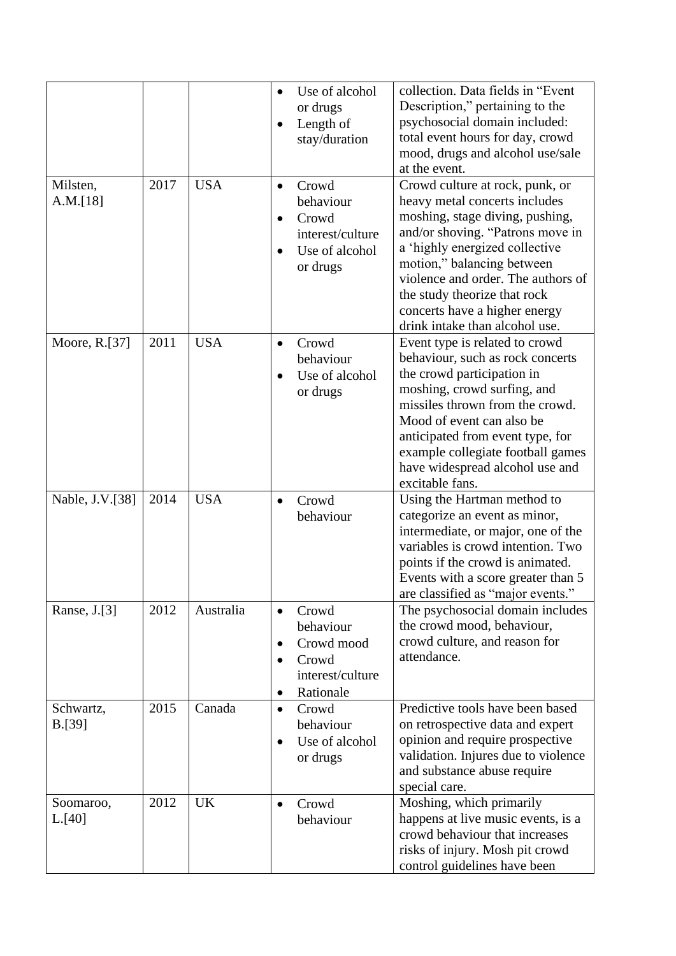|                      |      |            | collection. Data fields in "Event<br>Use of alcohol<br>Description," pertaining to the<br>or drugs<br>psychosocial domain included:<br>Length of<br>total event hours for day, crowd<br>stay/duration<br>mood, drugs and alcohol use/sale<br>at the event.                                                                                                                                                                                     |
|----------------------|------|------------|------------------------------------------------------------------------------------------------------------------------------------------------------------------------------------------------------------------------------------------------------------------------------------------------------------------------------------------------------------------------------------------------------------------------------------------------|
| Milsten,<br>A.M.[18] | 2017 | <b>USA</b> | Crowd culture at rock, punk, or<br>Crowd<br>$\bullet$<br>heavy metal concerts includes<br>behaviour<br>moshing, stage diving, pushing,<br>Crowd<br>and/or shoving. "Patrons move in<br>interest/culture<br>a 'highly energized collective<br>Use of alcohol<br>motion," balancing between<br>or drugs<br>violence and order. The authors of<br>the study theorize that rock<br>concerts have a higher energy<br>drink intake than alcohol use. |
| Moore, R.[37]        | 2011 | <b>USA</b> | Event type is related to crowd<br>Crowd<br>$\bullet$<br>behaviour, such as rock concerts<br>behaviour<br>the crowd participation in<br>Use of alcohol<br>moshing, crowd surfing, and<br>or drugs<br>missiles thrown from the crowd.<br>Mood of event can also be<br>anticipated from event type, for<br>example collegiate football games<br>have widespread alcohol use and<br>excitable fans.                                                |
| Nable, J.V.[38]      | 2014 | <b>USA</b> | Using the Hartman method to<br>Crowd<br>$\bullet$<br>categorize an event as minor,<br>behaviour<br>intermediate, or major, one of the<br>variables is crowd intention. Two<br>points if the crowd is animated.<br>Events with a score greater than 5<br>are classified as "major events."                                                                                                                                                      |
| Ranse, J.[3]         | 2012 | Australia  | The psychosocial domain includes<br>Crowd<br>$\bullet$<br>the crowd mood, behaviour,<br>behaviour<br>crowd culture, and reason for<br>Crowd mood<br>$\bullet$<br>attendance.<br>Crowd<br>interest/culture<br>Rationale<br>$\bullet$                                                                                                                                                                                                            |
| Schwartz,<br>B.[39]  | 2015 | Canada     | Predictive tools have been based<br>Crowd<br>$\bullet$<br>on retrospective data and expert<br>behaviour<br>opinion and require prospective<br>Use of alcohol<br>validation. Injures due to violence<br>or drugs<br>and substance abuse require<br>special care.                                                                                                                                                                                |
| Soomaroo,<br>L. [40] | 2012 | <b>UK</b>  | Moshing, which primarily<br>Crowd<br>happens at live music events, is a<br>behaviour<br>crowd behaviour that increases<br>risks of injury. Mosh pit crowd<br>control guidelines have been                                                                                                                                                                                                                                                      |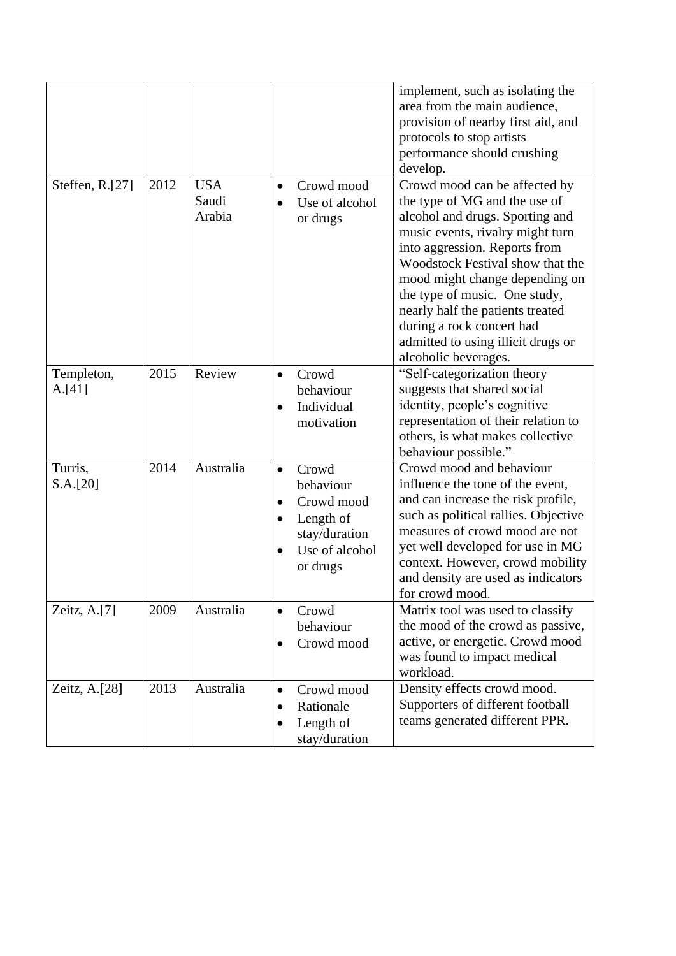|                      |      |                               |                                                                                                                        | implement, such as isolating the<br>area from the main audience,<br>provision of nearby first aid, and<br>protocols to stop artists<br>performance should crushing<br>develop.                                                                                                                                                                                                                               |
|----------------------|------|-------------------------------|------------------------------------------------------------------------------------------------------------------------|--------------------------------------------------------------------------------------------------------------------------------------------------------------------------------------------------------------------------------------------------------------------------------------------------------------------------------------------------------------------------------------------------------------|
| Steffen, R.[27]      | 2012 | <b>USA</b><br>Saudi<br>Arabia | Crowd mood<br>$\bullet$<br>Use of alcohol<br>or drugs                                                                  | Crowd mood can be affected by<br>the type of MG and the use of<br>alcohol and drugs. Sporting and<br>music events, rivalry might turn<br>into aggression. Reports from<br>Woodstock Festival show that the<br>mood might change depending on<br>the type of music. One study,<br>nearly half the patients treated<br>during a rock concert had<br>admitted to using illicit drugs or<br>alcoholic beverages. |
| Templeton,<br>A.[41] | 2015 | Review                        | Crowd<br>$\bullet$<br>behaviour<br>Individual<br>motivation                                                            | "Self-categorization theory<br>suggests that shared social<br>identity, people's cognitive<br>representation of their relation to<br>others, is what makes collective<br>behaviour possible."                                                                                                                                                                                                                |
| Turris,<br>S.A.[20]  | 2014 | Australia                     | Crowd<br>$\bullet$<br>behaviour<br>Crowd mood<br>$\bullet$<br>Length of<br>stay/duration<br>Use of alcohol<br>or drugs | Crowd mood and behaviour<br>influence the tone of the event,<br>and can increase the risk profile,<br>such as political rallies. Objective<br>measures of crowd mood are not<br>yet well developed for use in MG<br>context. However, crowd mobility<br>and density are used as indicators<br>for crowd mood.                                                                                                |
| Zeitz, A.[7]         | 2009 | Australia                     | Crowd<br>$\bullet$<br>behaviour<br>Crowd mood<br>$\bullet$                                                             | Matrix tool was used to classify<br>the mood of the crowd as passive,<br>active, or energetic. Crowd mood<br>was found to impact medical<br>workload.                                                                                                                                                                                                                                                        |
| Zeitz, A.[28]        | 2013 | Australia                     | Crowd mood<br>$\bullet$<br>Rationale<br>Length of<br>stay/duration                                                     | Density effects crowd mood.<br>Supporters of different football<br>teams generated different PPR.                                                                                                                                                                                                                                                                                                            |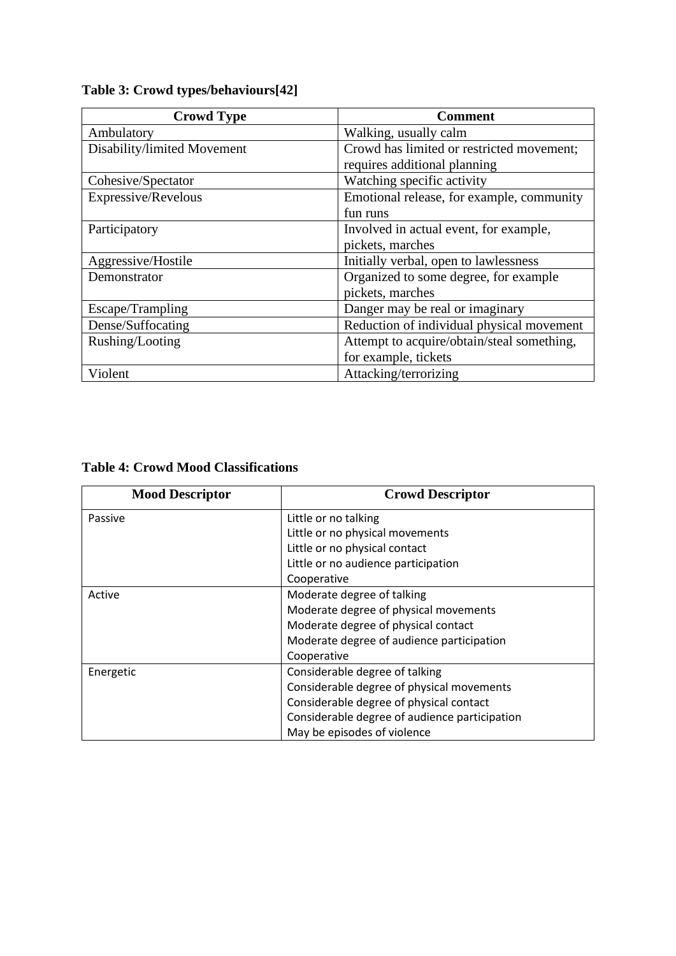| <b>Crowd Type</b>           | <b>Comment</b>                             |
|-----------------------------|--------------------------------------------|
| Ambulatory                  | Walking, usually calm                      |
| Disability/limited Movement | Crowd has limited or restricted movement;  |
|                             | requires additional planning               |
| Cohesive/Spectator          | Watching specific activity                 |
| Expressive/Revelous         | Emotional release, for example, community  |
|                             | fun runs                                   |
| Participatory               | Involved in actual event, for example,     |
|                             | pickets, marches                           |
| Aggressive/Hostile          | Initially verbal, open to lawlessness      |
| Demonstrator                | Organized to some degree, for example      |
|                             | pickets, marches                           |
| Escape/Trampling            | Danger may be real or imaginary            |
| Dense/Suffocating           | Reduction of individual physical movement  |
| Rushing/Looting             | Attempt to acquire/obtain/steal something, |
|                             | for example, tickets                       |
| Violent                     | Attacking/terrorizing                      |

# **Table 3: Crowd types/behaviours[42]**

# **Table 4: Crowd Mood Classifications**

| <b>Mood Descriptor</b> | <b>Crowd Descriptor</b>                       |
|------------------------|-----------------------------------------------|
| Passive                | Little or no talking                          |
|                        | Little or no physical movements               |
|                        | Little or no physical contact                 |
|                        | Little or no audience participation           |
|                        | Cooperative                                   |
| Active                 | Moderate degree of talking                    |
|                        | Moderate degree of physical movements         |
|                        | Moderate degree of physical contact           |
|                        | Moderate degree of audience participation     |
|                        | Cooperative                                   |
| Energetic              | Considerable degree of talking                |
|                        | Considerable degree of physical movements     |
|                        | Considerable degree of physical contact       |
|                        | Considerable degree of audience participation |
|                        | May be episodes of violence                   |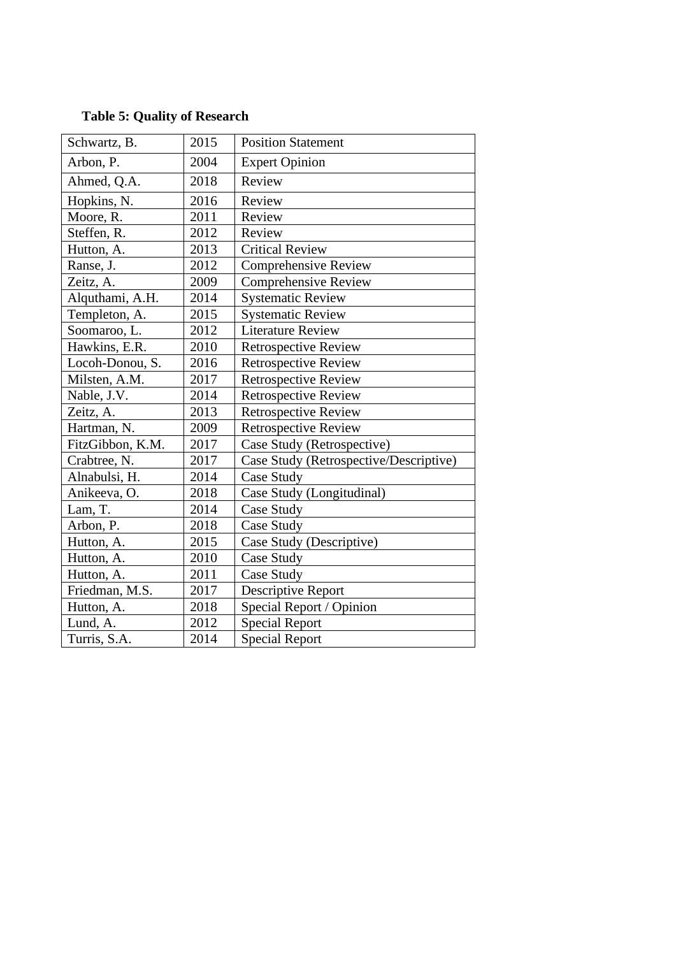| Schwartz, B.     | 2015 | <b>Position Statement</b>              |
|------------------|------|----------------------------------------|
| Arbon, P.        | 2004 | <b>Expert Opinion</b>                  |
| Ahmed, Q.A.      | 2018 | Review                                 |
| Hopkins, N.      | 2016 | Review                                 |
| Moore, R.        | 2011 | Review                                 |
| Steffen, R.      | 2012 | Review                                 |
| Hutton, A.       | 2013 | <b>Critical Review</b>                 |
| Ranse, J.        | 2012 | <b>Comprehensive Review</b>            |
| Zeitz, A.        | 2009 | <b>Comprehensive Review</b>            |
| Alquthami, A.H.  | 2014 | <b>Systematic Review</b>               |
| Templeton, A.    | 2015 | <b>Systematic Review</b>               |
| Soomaroo, L.     | 2012 | <b>Literature Review</b>               |
| Hawkins, E.R.    | 2010 | <b>Retrospective Review</b>            |
| Locoh-Donou, S.  | 2016 | <b>Retrospective Review</b>            |
| Milsten, A.M.    | 2017 | <b>Retrospective Review</b>            |
| Nable, J.V.      | 2014 | Retrospective Review                   |
| Zeitz, A.        | 2013 | <b>Retrospective Review</b>            |
| Hartman, N.      | 2009 | <b>Retrospective Review</b>            |
| FitzGibbon, K.M. | 2017 | Case Study (Retrospective)             |
| Crabtree, N.     | 2017 | Case Study (Retrospective/Descriptive) |
| Alnabulsi, H.    | 2014 | Case Study                             |
| Anikeeva, O.     | 2018 | Case Study (Longitudinal)              |
| Lam, T.          | 2014 | Case Study                             |
| Arbon, P.        | 2018 | Case Study                             |
| Hutton, A.       | 2015 | Case Study (Descriptive)               |
| Hutton, A.       | 2010 | Case Study                             |
| Hutton, A.       | 2011 | Case Study                             |
| Friedman, M.S.   | 2017 | <b>Descriptive Report</b>              |
| Hutton, A.       | 2018 | Special Report / Opinion               |
| Lund, A.         | 2012 | <b>Special Report</b>                  |
| Turris, S.A.     | 2014 | <b>Special Report</b>                  |

# **Table 5: Quality of Research**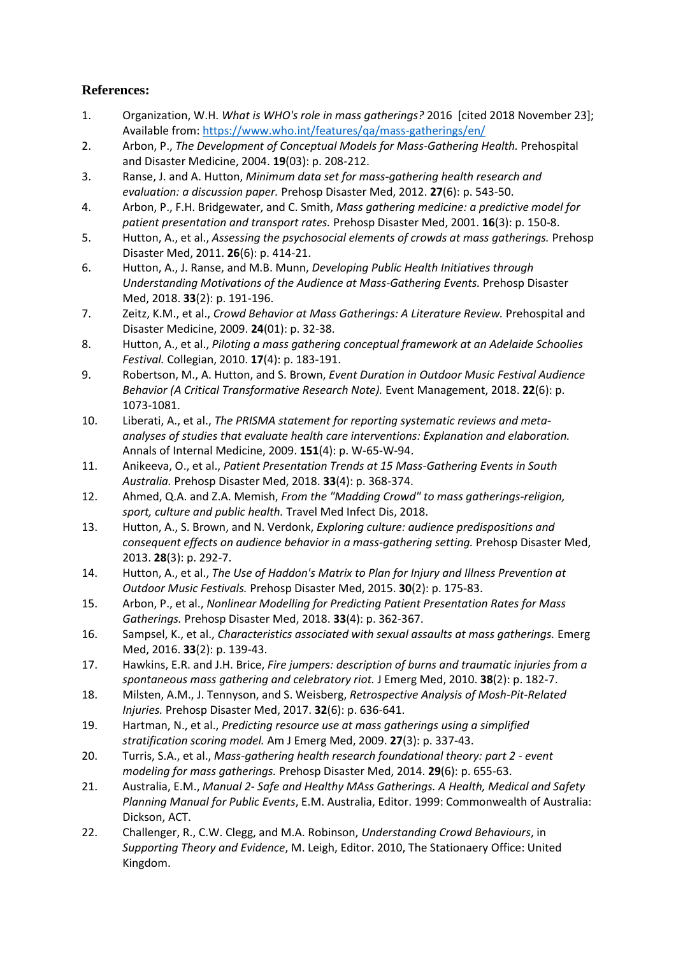# **References:**

- 1. Organization, W.H. *What is WHO's role in mass gatherings?* 2016 [cited 2018 November 23]; Available from[: https://www.who.int/features/qa/mass-gatherings/en/](https://www.who.int/features/qa/mass-gatherings/en/)
- 2. Arbon, P., *The Development of Conceptual Models for Mass-Gathering Health.* Prehospital and Disaster Medicine, 2004. **19**(03): p. 208-212.
- 3. Ranse, J. and A. Hutton, *Minimum data set for mass-gathering health research and evaluation: a discussion paper.* Prehosp Disaster Med, 2012. **27**(6): p. 543-50.
- 4. Arbon, P., F.H. Bridgewater, and C. Smith, *Mass gathering medicine: a predictive model for patient presentation and transport rates.* Prehosp Disaster Med, 2001. **16**(3): p. 150-8.
- 5. Hutton, A., et al., *Assessing the psychosocial elements of crowds at mass gatherings.* Prehosp Disaster Med, 2011. **26**(6): p. 414-21.
- 6. Hutton, A., J. Ranse, and M.B. Munn, *Developing Public Health Initiatives through Understanding Motivations of the Audience at Mass-Gathering Events.* Prehosp Disaster Med, 2018. **33**(2): p. 191-196.
- 7. Zeitz, K.M., et al., *Crowd Behavior at Mass Gatherings: A Literature Review.* Prehospital and Disaster Medicine, 2009. **24**(01): p. 32-38.
- 8. Hutton, A., et al., *Piloting a mass gathering conceptual framework at an Adelaide Schoolies Festival.* Collegian, 2010. **17**(4): p. 183-191.
- 9. Robertson, M., A. Hutton, and S. Brown, *Event Duration in Outdoor Music Festival Audience Behavior (A Critical Transformative Research Note).* Event Management, 2018. **22**(6): p. 1073-1081.
- 10. Liberati, A., et al., *The PRISMA statement for reporting systematic reviews and metaanalyses of studies that evaluate health care interventions: Explanation and elaboration.* Annals of Internal Medicine, 2009. **151**(4): p. W-65-W-94.
- 11. Anikeeva, O., et al., *Patient Presentation Trends at 15 Mass-Gathering Events in South Australia.* Prehosp Disaster Med, 2018. **33**(4): p. 368-374.
- 12. Ahmed, Q.A. and Z.A. Memish, *From the "Madding Crowd" to mass gatherings-religion, sport, culture and public health.* Travel Med Infect Dis, 2018.
- 13. Hutton, A., S. Brown, and N. Verdonk, *Exploring culture: audience predispositions and consequent effects on audience behavior in a mass-gathering setting.* Prehosp Disaster Med, 2013. **28**(3): p. 292-7.
- 14. Hutton, A., et al., *The Use of Haddon's Matrix to Plan for Injury and Illness Prevention at Outdoor Music Festivals.* Prehosp Disaster Med, 2015. **30**(2): p. 175-83.
- 15. Arbon, P., et al., *Nonlinear Modelling for Predicting Patient Presentation Rates for Mass Gatherings.* Prehosp Disaster Med, 2018. **33**(4): p. 362-367.
- 16. Sampsel, K., et al., *Characteristics associated with sexual assaults at mass gatherings.* Emerg Med, 2016. **33**(2): p. 139-43.
- 17. Hawkins, E.R. and J.H. Brice, *Fire jumpers: description of burns and traumatic injuries from a spontaneous mass gathering and celebratory riot.* J Emerg Med, 2010. **38**(2): p. 182-7.
- 18. Milsten, A.M., J. Tennyson, and S. Weisberg, *Retrospective Analysis of Mosh-Pit-Related Injuries.* Prehosp Disaster Med, 2017. **32**(6): p. 636-641.
- 19. Hartman, N., et al., *Predicting resource use at mass gatherings using a simplified stratification scoring model.* Am J Emerg Med, 2009. **27**(3): p. 337-43.
- 20. Turris, S.A., et al., *Mass-gathering health research foundational theory: part 2 - event modeling for mass gatherings.* Prehosp Disaster Med, 2014. **29**(6): p. 655-63.
- 21. Australia, E.M., *Manual 2- Safe and Healthy MAss Gatherings. A Health, Medical and Safety Planning Manual for Public Events*, E.M. Australia, Editor. 1999: Commonwealth of Australia: Dickson, ACT.
- 22. Challenger, R., C.W. Clegg, and M.A. Robinson, *Understanding Crowd Behaviours*, in *Supporting Theory and Evidence*, M. Leigh, Editor. 2010, The Stationaery Office: United Kingdom.